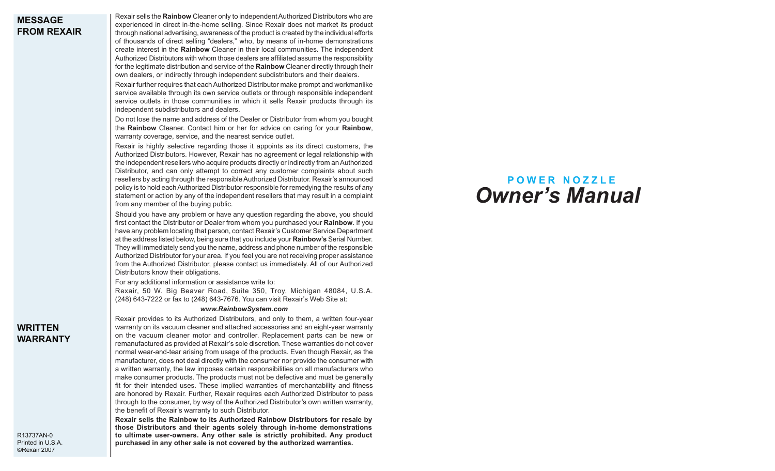### **MESSAGE FROM REXAIR**

Rexair sells the **Rainbow** Cleaner only to independent Authorized Distributors who are experienced in direct in-the-home selling. Since Rexair does not market its product through national advertising, awareness of the product is created by the individual efforts of thousands of direct selling "dealers," who, by means of in-home demonstrations create interest in the **Rainbow** Cleaner in their local communities. The independent Authorized Distributors with whom those dealers are affiliated assume the responsibility for the legitimate distribution and service of the **Rainbow** Cleaner directly through their own dealers, or indirectly through independent subdistributors and their dealers.

Rexair further requires that each Authorized Distributor make prompt and workmanlike service available through its own service outlets or through responsible independent service outlets in those communities in which it sells Rexair products through its independent subdistributors and dealers.

Do not lose the name and address of the Dealer or Distributor from whom you bought the **Rainbow** Cleaner. Contact him or her for advice on caring for your **Rainbow**, warranty coverage, service, and the nearest service outlet.

Rexair is highly selective regarding those it appoints as its direct customers, the Authorized Distributors. However, Rexair has no agreement or legal relationship with the independent resellers who acquire products directly or indirectly from an Authorized Distributor, and can only attempt to correct any customer complaints about such resellers by acting through the responsible Authorized Distributor. Rexair's announced policy is to hold each Authorized Distributor responsible for remedying the results of any statement or action by any of the independent resellers that may result in a complaint from any member of the buying public.

Should you have any problem or have any question regarding the above, you should first contact the Distributor or Dealer from whom you purchased your **Rainbow**. If you have any problem locating that person, contact Rexair's Customer Service Department at the address listed below, being sure that you include your **Rainbow's** Serial Number. They will immediately send you the name, address and phone number of the responsible Authorized Distributor for your area. If you feel you are not receiving proper assistance from the Authorized Distributor, please contact us immediately. All of our Authorized Distributors know their obligations.

For any additional information or assistance write to:

Rexair, 50 W. Big Beaver Road, Suite 350, Troy, Michigan 48084, U.S.A. (248) 643-7222 or fax to (248) 643-7676. You can visit Rexair's Web Site at:

#### *www.RainbowSystem.com*

Rexair provides to its Authorized Distributors, and only to them, a written four-year warranty on its vacuum cleaner and attached accessories and an eight-year warranty on the vacuum cleaner motor and controller. Replacement parts can be new or remanufactured as provided at Rexair's sole discretion. These warranties do not cover normal wear-and-tear arising from usage of the products. Even though Rexair, as the manufacturer, does not deal directly with the consumer nor provide the consumer with a written warranty, the law imposes certain responsibilities on all manufacturers who make consumer products. The products must not be defective and must be generally fit for their intended uses. These implied warranties of merchantability and fitness are honored by Rexair. Further, Rexair requires each Authorized Distributor to pass through to the consumer, by way of the Authorized Distributor's own written warranty, the benefit of Rexair's warranty to such Distributor.

**Rexair sells the Rainbow to its Authorized Rainbow Distributors for resale by those Distributors and their agents solely through in-home demonstrations to ultimate user-owners. Any other sale is strictly prohibited. Any product purchased in any other sale is not covered by the authorized warranties.**

# *Owner's Manual* **P O W E R N O Z Z L E**

### **WRITTEN WARRANTY**

R13737AN-0 Printed in U.S.A. ©Rexair 2007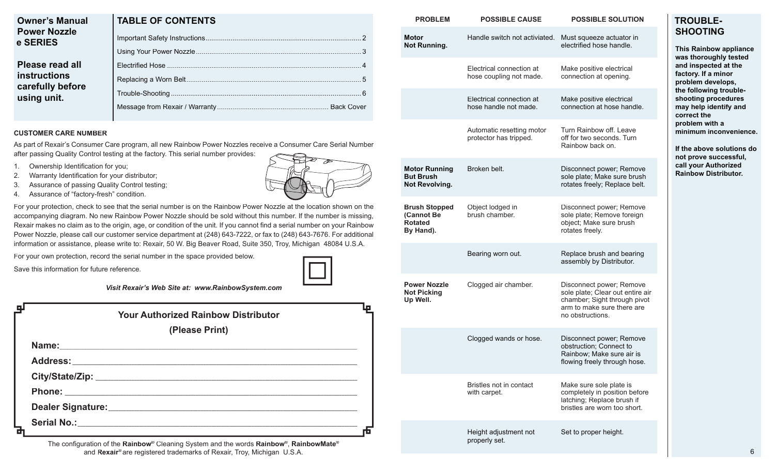| <b>Owner's Manual</b><br><b>Power Nozzle</b><br>e SERIES                         | <b>TABLE OF CONTENTS</b> |  |
|----------------------------------------------------------------------------------|--------------------------|--|
|                                                                                  |                          |  |
|                                                                                  |                          |  |
| <b>Please read all</b><br><b>instructions</b><br>carefully before<br>using unit. |                          |  |
|                                                                                  |                          |  |
|                                                                                  |                          |  |
|                                                                                  |                          |  |

### **CUSTOMER CARE NUMBER**

**e** 

As part of Rexair's Consumer Care program, all new Rainbow Power Nozzles receive a Consumer Care Serial Number after passing Quality Control testing at the factory. This serial number provides:

- 1. Ownership Identification for you;
- 2. Warranty Identification for your distributor;
- 3. Assurance of passing Quality Control testing;
- 4. Assurance of "factory-fresh" condition.

For your protection, check to see that the serial number is on the Rainbow Power Nozzle at the location shown on the accompanying diagram. No new Rainbow Power Nozzle should be sold without this number. If the number is missing, Rexair makes no claim as to the origin, age, or condition of the unit. If you cannot find a serial number on your Rainbow Power Nozzle, please call our customer service department at (248) 643-7222, or fax to (248) 643-7676. For additional information or assistance, please write to: Rexair, 50 W. Big Beaver Road, Suite 350, Troy, Michigan 48084 U.S.A.

For your own protection, record the serial number in the space provided below.

Save this information for future reference.

| Visit Rexair's Web Site at: www.RainbowSystem.com |  |
|---------------------------------------------------|--|
|---------------------------------------------------|--|

| <b>Your Authorized Rainbow Distributor</b> |                |  |
|--------------------------------------------|----------------|--|
|                                            | (Please Print) |  |
|                                            |                |  |
|                                            |                |  |
|                                            |                |  |
|                                            |                |  |
|                                            |                |  |
|                                            |                |  |
|                                            |                |  |

The configuration of the **Rainbow®** Cleaning System and the words **Rainbow®**, RainbowMate® and **Rexair®** are registered trademarks of Rexair, Troy, Michigan U.S.A.

| <b>PROBLEM</b>                                                    | <b>POSSIBLE CAUSE</b>                               | <b>POSSIBLE SOLUTION</b>                                                                                                                       | <b>TROUB</b>                                                                                                                                                                         |
|-------------------------------------------------------------------|-----------------------------------------------------|------------------------------------------------------------------------------------------------------------------------------------------------|--------------------------------------------------------------------------------------------------------------------------------------------------------------------------------------|
| <b>Motor</b><br><b>Not Running.</b>                               | Handle switch not activiated.                       | Must squeeze actuator in<br>electrified hose handle.                                                                                           | <b>SHOOT</b><br><b>This Rain</b>                                                                                                                                                     |
|                                                                   | Electrical connection at<br>hose coupling not made. | Make positive electrical<br>connection at opening.                                                                                             | was thoro<br>and inspe<br>factory. If<br>problem o<br>the follow<br>shooting<br>may help<br>correct th<br>problem v<br>minimum<br>If the aboy<br>not prove<br>call your /<br>Rainbow |
|                                                                   | Electrical connection at<br>hose handle not made.   | Make positive electrical<br>connection at hose handle.                                                                                         |                                                                                                                                                                                      |
|                                                                   | Automatic resetting motor<br>protector has tripped. | Turn Rainbow off. Leave<br>off for two seconds. Turn<br>Rainbow back on.                                                                       |                                                                                                                                                                                      |
| <b>Motor Running</b><br><b>But Brush</b><br>Not Revolving.        | Broken belt.                                        | Disconnect power; Remove<br>sole plate; Make sure brush<br>rotates freely; Replace belt.                                                       |                                                                                                                                                                                      |
| <b>Brush Stopped</b><br>(Cannot Be<br><b>Rotated</b><br>By Hand). | Object lodged in<br>brush chamber.                  | Disconnect power; Remove<br>sole plate; Remove foreign<br>object; Make sure brush<br>rotates freely.                                           |                                                                                                                                                                                      |
|                                                                   | Bearing worn out.                                   | Replace brush and bearing<br>assembly by Distributor.                                                                                          |                                                                                                                                                                                      |
| <b>Power Nozzle</b><br><b>Not Picking</b><br>Up Well.             | Clogged air chamber.                                | Disconnect power; Remove<br>sole plate; Clear out entire air<br>chamber; Sight through pivot<br>arm to make sure there are<br>no obstructions. |                                                                                                                                                                                      |
|                                                                   | Clogged wands or hose.                              | Disconnect power; Remove<br>obstruction; Connect to<br>Rainbow; Make sure air is<br>flowing freely through hose.                               |                                                                                                                                                                                      |
|                                                                   | Bristles not in contact<br>with carpet.             | Make sure sole plate is<br>completely in position before<br>latching; Replace brush if<br>bristles are worn too short.                         |                                                                                                                                                                                      |
|                                                                   | Height adjustment not<br>properly set.              | Set to proper height.                                                                                                                          |                                                                                                                                                                                      |



# **TROUBLE-SING**

**bow appliance wahly tested cted at the factory. If a minor problem develops, troubleshooting procedures identify and correct the p**ith a **minimum inconvenience. Ve solutions do** 

successful. **Authorized Distributor.**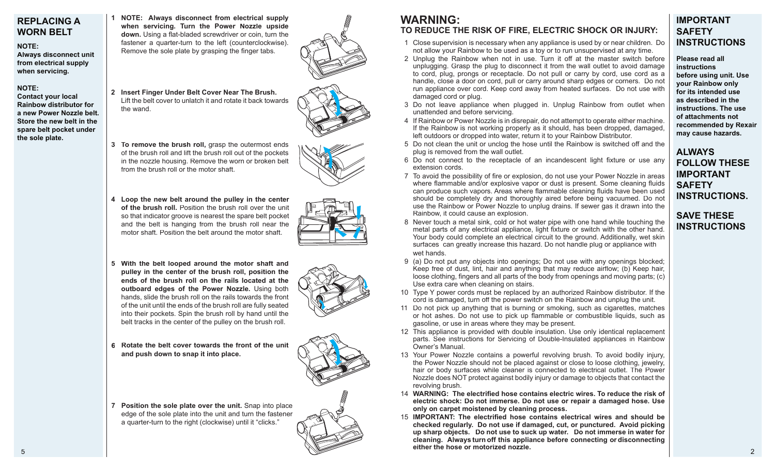## **REPLACING A WORN BELT**

### **NOTE:**

**Always disconnect unit from electrical supply when servicing.**

### **NOTE:**

**Contact your local Rainbow distributor for a new Power Nozzle belt. Store the new belt in the spare belt pocket under the sole plate.**

**1 NOTE: Always disconnect from electrical supply**  when servicing. Turn the Power Nozzle upside **down.** Using a flat-bladed screwdriver or coin, turn the fastener a quarter-turn to the left (counterclockwise). Remove the sole plate by grasping the finger tabs.

- **2 Insert Finger Under Belt Cover Near The Brush.**  Lift the belt cover to unlatch it and rotate it back towards
- **3 To remove the brush roll,** grasp the outermost ends of the brush roll and lift the brush roll out of the pockets in the nozzle housing. Remove the worn or broken belt from the brush roll or the motor shaft.

the wand.

- **4 Loop the new belt around the pulley in the center of the brush roll.** Position the brush roll over the unit so that indicator groove is nearest the spare belt pocket and the belt is hanging from the brush roll near the motor shaft. Position the belt around the motor shaft.
- **5 With the belt looped around the motor shaft and pulley in the center of the brush roll, position the ends of the brush roll on the rails located at the outboard edges of the Power Nozzle.** Using both hands, slide the brush roll on the rails towards the front of the unit until the ends of the brush roll are fully seated into their pockets. Spin the brush roll by hand until the belt tracks in the center of the pulley on the brush roll.



- **6 Rotate the belt cover towards the front of the unit and push down to snap it into place.**
- **7 Position the sole plate over the unit.** Snap into place edge of the sole plate into the unit and turn the fastener a quarter-turn to the right (clockwise) until it "clicks."

# **WARNING:**

# **TO REDUCE THE RISK OF FIRE, ELECTRIC SHOCK OR INJURY:**

- 1 Close supervision is necessary when any appliance is used by or near children. Do not allow your Rainbow to be used as a toy or to run unsupervised at any time.
- 2 Unplug the Rainbow when not in use. Turn it off at the master switch before unplugging. Grasp the plug to disconnect it from the wall outlet to avoid damage to cord, plug, prongs or receptacle. Do not pull or carry by cord, use cord as a handle, close a door on cord, pull or carry around sharp edges or corners. Do not run appliance over cord. Keep cord away from heated surfaces. Do not use with damaged cord or plug.
- 3 Do not leave appliance when plugged in. Unplug Rainbow from outlet when unattended and before servicing.
- 4 If Rainbow or Power Nozzle is in disrepair, do not attempt to operate either machine. If the Rainbow is not working properly as it should, has been dropped, damaged, left outdoors or dropped into water, return it to your Rainbow Distributor.
- 5 Do not clean the unit or unclog the hose until the Rainbow is switched off and the plug is removed from the wall outlet.
- 6 Do not connect to the receptacle of an incandescent light fixture or use any extension cords.
- 7 To avoid the possibility of fire or explosion, do not use your Power Nozzle in areas where flammable and/or explosive vapor or dust is present. Some cleaning fluids can produce such vapors. Areas where flammable cleaning fluids have been used should be completely dry and thoroughly aired before being vacuumed. Do not use the Rainbow or Power Nozzle to unplug drains. If sewer gas it drawn into the Rainbow, it could cause an explosion.

**may cause hazards. ALWAYS FOLLOW THESE IMPORTANT SAFETY INSTRUCTIONS.**

**IMPORTANT SAFETY**

**Please read all instructions** 

**INSTRUCTIONS**

**before using unit. Use your Rainbow only for its intended use as described in the instructions. The use of attachments not recommended by Rexair** 

# **SAVE THESE INSTRUCTIONS**

- 8 Never touch a metal sink, cold or hot water pipe with one hand while touching the metal parts of any electrical appliance, light fixture or switch with the other hand. Your body could complete an electrical circuit to the ground. Additionally, wet skin surfaces can greatly increase this hazard. Do not handle plug or appliance with wet hands.
- 9 (a) Do not put any objects into openings; Do not use with any openings blocked; Keep free of dust, lint, hair and anything that may reduce airflow; (b) Keep hair, loose clothing, fingers and all parts of the body from openings and moving parts; (c) Use extra care when cleaning on stairs.
- 10 Type Y power cords must be replaced by an authorized Rainbow distributor. If the cord is damaged, turn off the power switch on the Rainbow and unplug the unit.
- 11 Do not pick up anything that is burning or smoking, such as cigarettes, matches or hot ashes. Do not use to pick up flammable or combustible liquids, such as gasoline, or use in areas where they may be present.
- 12 This appliance is provided with double insulation. Use only identical replacement parts. See instructions for Servicing of Double-Insulated appliances in Rainbow Owner's Manual.
- 13 Your Power Nozzle contains a powerful revolving brush. To avoid bodily injury, the Power Nozzle should not be placed against or close to loose clothing, jewelry, hair or body surfaces while cleaner is connected to electrical outlet. The Power Nozzle does NOT protect against bodily injury or damage to objects that contact the revolving brush.
- 14 **WARNING:** The electrified hose contains electric wires. To reduce the risk of **electric shock: Do not immerse. Do not use or repair a damaged hose. Use only on carpet moistened by cleaning process.**
- 15 **IMPORTANT:** The electrified hose contains electrical wires and should be **checked regularly. Do not use if damaged, cut, or punctured. Avoid picking up sharp objects. Do not use to suck up water. Do not immerse in water for cleaning. Always turn off this appliance before connecting or disconnecting either the hose or motorized nozzle.**

5